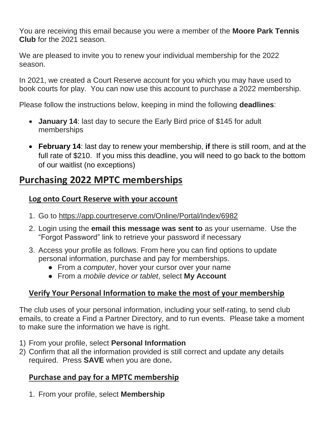You are receiving this email because you were a member of the **Moore Park Tennis Club** for the 2021 season.

We are pleased to invite you to renew your individual membership for the 2022 season.

In 2021, we created a Court Reserve account for you which you may have used to book courts for play. You can now use this account to purchase a 2022 membership.

Please follow the instructions below, keeping in mind the following **deadlines**:

- **January 14**: last day to secure the Early Bird price of \$145 for adult memberships
- **February 14**: last day to renew your membership, **if** there is still room, and at the full rate of \$210. If you miss this deadline, you will need to go back to the bottom of our waitlist (no exceptions)

## **Purchasing 2022 MPTC memberships**

## **Log onto Court Reserve with your account**

- 1. Go to<https://app.courtreserve.com/Online/Portal/Index/6982>
- 2. Login using the **email this message was sent to** as your username. Use the "Forgot Password" link to retrieve your password if necessary
- 3. Access your profile as follows. From here you can find options to update personal information, purchase and pay for memberships.
	- From a *computer*, hover your cursor over your name
	- From a *mobile device or tablet*, select **My Account**

## **Verify Your Personal Information to make the most of your membership**

The club uses of your personal information, including your self-rating, to send club emails, to create a Find a Partner Directory, and to run events. Please take a moment to make sure the information we have is right.

- 1) From your profile, select **Personal Information**
- 2) Confirm that all the information provided is still correct and update any details required. Press **SAVE** when you are done**.**

## **Purchase and pay for a MPTC membership**

1. From your profile, select **Membership**